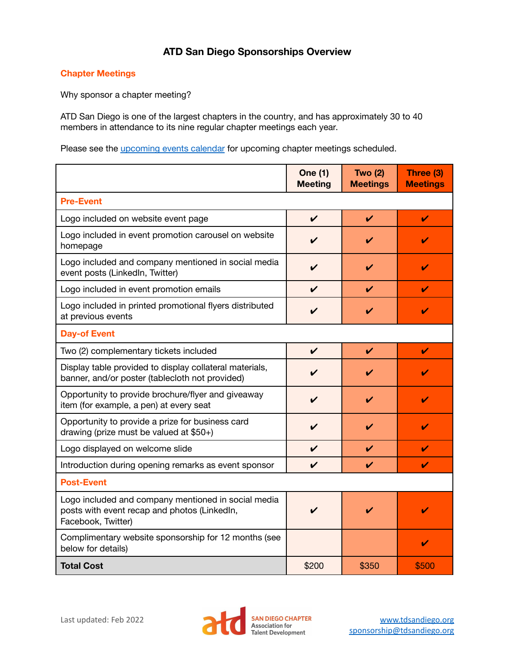# **ATD San Diego Sponsorships Overview**

## **Chapter Meetings**

Why sponsor a chapter meeting?

ATD San Diego is one of the largest chapters in the country, and has approximately 30 to 40 members in attendance to its nine regular chapter meetings each year.

Please see the *[upcoming events calendar](https://www.tdsandiego.org/page-972785)* for upcoming chapter meetings scheduled.

|                                                                                                                           | <b>One (1)</b><br><b>Meeting</b> | <b>Two (2)</b><br><b>Meetings</b> | Three (3)<br><b>Meetings</b> |  |  |
|---------------------------------------------------------------------------------------------------------------------------|----------------------------------|-----------------------------------|------------------------------|--|--|
| <b>Pre-Event</b>                                                                                                          |                                  |                                   |                              |  |  |
| Logo included on website event page                                                                                       | $\boldsymbol{\nu}$               | V                                 | V                            |  |  |
| Logo included in event promotion carousel on website<br>homepage                                                          | V                                | ✔                                 | V                            |  |  |
| Logo included and company mentioned in social media<br>event posts (LinkedIn, Twitter)                                    | V                                | ✓                                 | V                            |  |  |
| Logo included in event promotion emails                                                                                   | V                                | V                                 | V                            |  |  |
| Logo included in printed promotional flyers distributed<br>at previous events                                             | V                                | $\boldsymbol{\nu}$                | V                            |  |  |
| <b>Day-of Event</b>                                                                                                       |                                  |                                   |                              |  |  |
| Two (2) complementary tickets included                                                                                    | $\checkmark$                     | $\checkmark$                      | V                            |  |  |
| Display table provided to display collateral materials,<br>banner, and/or poster (tablecloth not provided)                | V                                | ✓                                 |                              |  |  |
| Opportunity to provide brochure/flyer and giveaway<br>item (for example, a pen) at every seat                             | V                                | $\boldsymbol{\nu}$                | V                            |  |  |
| Opportunity to provide a prize for business card<br>drawing (prize must be valued at $$50+$ )                             | V                                | V                                 | V                            |  |  |
| Logo displayed on welcome slide                                                                                           | V                                | V                                 | V                            |  |  |
| Introduction during opening remarks as event sponsor                                                                      | V                                | $\overline{\mathbf{v}}$           | V                            |  |  |
| <b>Post-Event</b>                                                                                                         |                                  |                                   |                              |  |  |
| Logo included and company mentioned in social media<br>posts with event recap and photos (LinkedIn,<br>Facebook, Twitter) | ✔                                | V                                 | ✓                            |  |  |
| Complimentary website sponsorship for 12 months (see<br>below for details)                                                |                                  |                                   | V                            |  |  |
| <b>Total Cost</b>                                                                                                         | \$200                            | \$350                             | \$500                        |  |  |

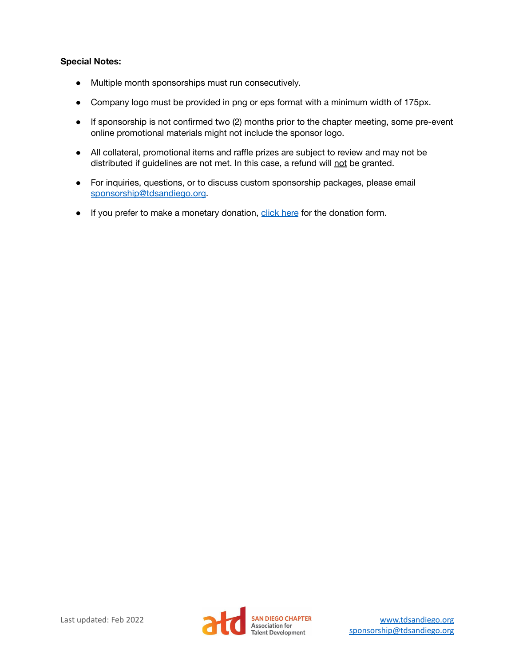#### **Special Notes:**

- Multiple month sponsorships must run consecutively.
- Company logo must be provided in png or eps format with a minimum width of 175px.
- If sponsorship is not confirmed two (2) months prior to the chapter meeting, some pre-event online promotional materials might not include the sponsor logo.
- All collateral, promotional items and raffle prizes are subject to review and may not be distributed if guidelines are not met. In this case, a refund will not be granted.
- For inquiries, questions, or to discuss custom sponsorship packages, please email [sponsorship@tdsandiego.org.](mailto:sponsorship@tdsandiego.org)
- If you prefer to make a monetary donation, [click here](https://www.tdsandiego.org/donation) for the donation form.

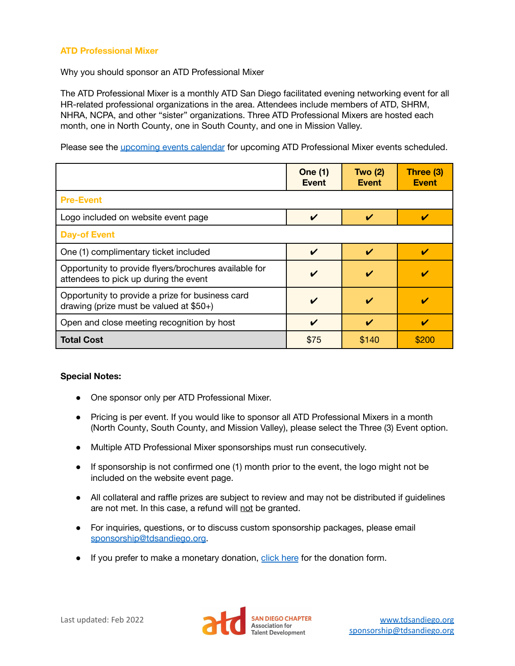## **ATD Professional Mixer**

Why you should sponsor an ATD Professional Mixer

The ATD Professional Mixer is a monthly ATD San Diego facilitated evening networking event for all HR-related professional organizations in the area. Attendees include members of ATD, SHRM, NHRA, NCPA, and other "sister" organizations. Three ATD Professional Mixers are hosted each month, one in North County, one in South County, and one in Mission Valley.

Please see the [upcoming events calendar](https://www.tdsandiego.org/page-972785) for upcoming ATD Professional Mixer events scheduled.

|                                                                                                | <b>One (1)</b><br><b>Event</b> | Two $(2)$<br><b>Event</b>  | Three (3)<br><b>Event</b> |
|------------------------------------------------------------------------------------------------|--------------------------------|----------------------------|---------------------------|
| <b>Pre-Event</b>                                                                               |                                |                            |                           |
| Logo included on website event page                                                            | V                              | ✔                          |                           |
| <b>Day-of Event</b>                                                                            |                                |                            |                           |
| One (1) complimentary ticket included                                                          | V                              | $\boldsymbol{\mathcal{U}}$ |                           |
| Opportunity to provide flyers/brochures available for<br>attendees to pick up during the event | V                              |                            |                           |
| Opportunity to provide a prize for business card<br>drawing (prize must be valued at $$50+$ )  | V                              | V                          |                           |
| Open and close meeting recognition by host                                                     | V                              | $\boldsymbol{\mathcal{U}}$ |                           |
| <b>Total Cost</b>                                                                              | \$75                           | \$140                      | \$200                     |

#### **Special Notes:**

- One sponsor only per ATD Professional Mixer.
- Pricing is per event. If you would like to sponsor all ATD Professional Mixers in a month (North County, South County, and Mission Valley), please select the Three (3) Event option.
- Multiple ATD Professional Mixer sponsorships must run consecutively.
- If sponsorship is not confirmed one (1) month prior to the event, the logo might not be included on the website event page.
- All collateral and raffle prizes are subject to review and may not be distributed if guidelines are not met. In this case, a refund will not be granted.
- For inquiries, questions, or to discuss custom sponsorship packages, please email [sponsorship@tdsandiego.org.](mailto:sponsorship@tdsandiego.org)
- **•** If you prefer to make a monetary donation, [click here](https://www.tdsandiego.org/donation) for the donation form.